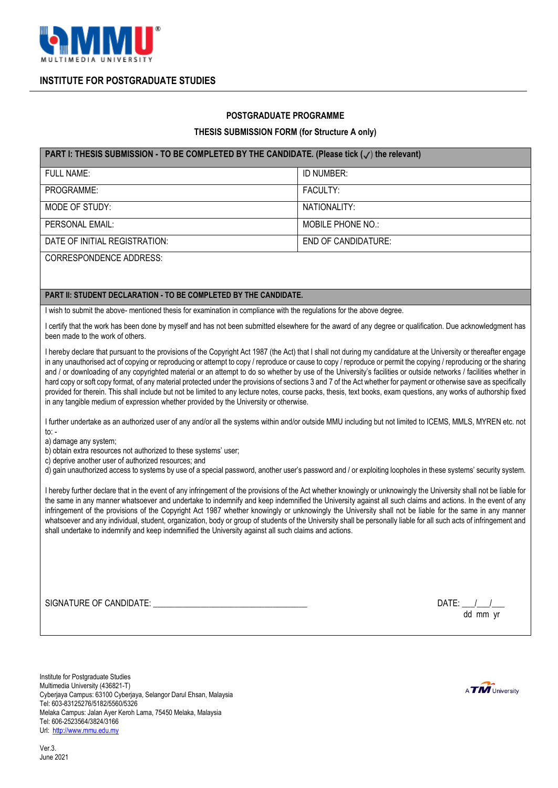

**INSTITUTE FOR POSTGRADUATE STUDIES**

## **POSTGRADUATE PROGRAMME**

## **THESIS SUBMISSION FORM (for Structure A only)**

## **PART I: THESIS SUBMISSION - TO BE COMPLETED BY THE CANDIDATE. (Please tick (**✔) **the relevant)**

| <b>FULL NAME:</b>              | ID NUMBER:          |
|--------------------------------|---------------------|
| PROGRAMME:                     | <b>FACULTY:</b>     |
| MODE OF STUDY:                 | NATIONALITY:        |
| PERSONAL EMAIL:                | MOBILE PHONE NO.:   |
| DATE OF INITIAL REGISTRATION:  | END OF CANDIDATURE: |
| <b>CORRESPONDENCE ADDRESS:</b> |                     |

## **PART II: STUDENT DECLARATION - TO BE COMPLETED BY THE CANDIDATE.**

I wish to submit the above- mentioned thesis for examination in compliance with the regulations for the above degree.

I certify that the work has been done by myself and has not been submitted elsewhere for the award of any degree or qualification. Due acknowledgment has been made to the work of others.

I hereby declare that pursuant to the provisions of the Copyright Act 1987 (the Act) that I shall not during my candidature at the University or thereafter engage in any unauthorised act of copying or reproducing or attempt to copy / reproduce or cause to copy / reproduce or permit the copying / reproducing or the sharing and / or downloading of any copyrighted material or an attempt to do so whether by use of the University's facilities or outside networks / facilities whether in hard copy or soft copy format, of any material protected under the provisions of sections 3 and 7 of the Act whether for payment or otherwise save as specifically provided for therein. This shall include but not be limited to any lecture notes, course packs, thesis, text books, exam questions, any works of authorship fixed in any tangible medium of expression whether provided by the University or otherwise.

I further undertake as an authorized user of any and/or all the systems within and/or outside MMU including but not limited to ICEMS, MMLS, MYREN etc. not to: -

a) damage any system;

b) obtain extra resources not authorized to these systems' user;

c) deprive another user of authorized resources; and

d) gain unauthorized access to systems by use of a special password, another user's password and / or exploiting loopholes in these systems' security system.

I hereby further declare that in the event of any infringement of the provisions of the Act whether knowingly or unknowingly the University shall not be liable for the same in any manner whatsoever and undertake to indemnify and keep indemnified the University against all such claims and actions. In the event of any infringement of the provisions of the Copyright Act 1987 whether knowingly or unknowingly the University shall not be liable for the same in any manner whatsoever and any individual, student, organization, body or group of students of the University shall be personally liable for all such acts of infringement and shall undertake to indemnify and keep indemnified the University against all such claims and actions.

SIGNATURE OF CANDIDATE: \_\_\_\_\_\_\_\_\_\_\_\_\_\_\_\_\_\_\_\_\_\_\_\_\_\_\_\_\_\_\_\_\_\_\_\_ DATE: \_\_\_/\_\_\_/\_\_\_

dd mm yr

Institute for Postgraduate Studies Multimedia University (436821-T) Cyberjaya Campus: 63100 Cyberjaya, Selangor Darul Ehsan, Malaysia Tel: 603-83125276/5182/5560/5326 Melaka Campus: Jalan Ayer Keroh Lama, 75450 Melaka, Malaysia Tel: 606-2523564/3824/3166 Url: [http://www.mmu.edu.my](http://www.mmu.edu.my/)

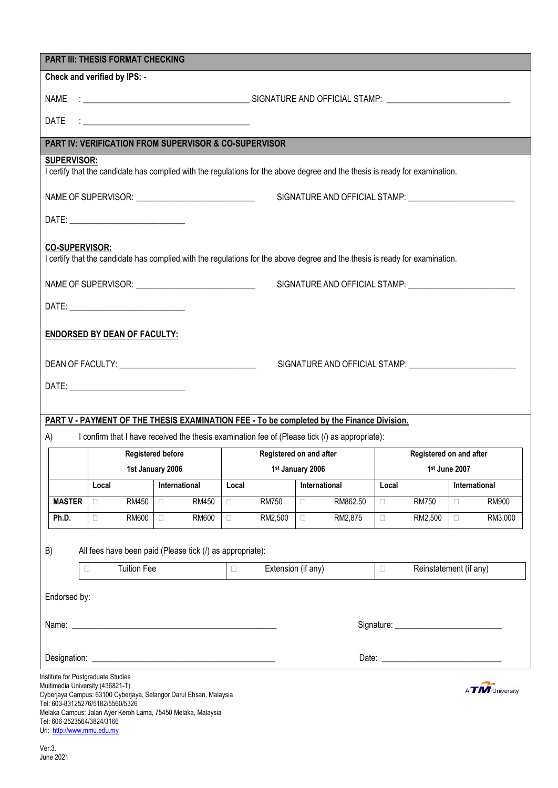|                        | <b>PART III: THESIS FORMAT CHECKING</b><br>Check and verified by IPS: - |                                                                                                                              |                                             |                         |                     |                  |                         |                  |                         |  |
|------------------------|-------------------------------------------------------------------------|------------------------------------------------------------------------------------------------------------------------------|---------------------------------------------|-------------------------|---------------------|------------------|-------------------------|------------------|-------------------------|--|
|                        |                                                                         |                                                                                                                              |                                             |                         |                     |                  |                         |                  |                         |  |
| NAME                   |                                                                         |                                                                                                                              |                                             |                         |                     |                  |                         |                  |                         |  |
| <b>DATE</b>            |                                                                         |                                                                                                                              |                                             |                         |                     |                  |                         |                  |                         |  |
|                        |                                                                         | <b>PART IV: VERIFICATION FROM SUPERVISOR &amp; CO-SUPERVISOR</b>                                                             |                                             |                         |                     |                  |                         |                  |                         |  |
| <b>SUPERVISOR:</b>     |                                                                         | I certify that the candidate has complied with the regulations for the above degree and the thesis is ready for examination. |                                             |                         |                     |                  |                         |                  |                         |  |
|                        |                                                                         |                                                                                                                              |                                             |                         |                     |                  |                         |                  |                         |  |
|                        |                                                                         |                                                                                                                              |                                             |                         |                     |                  |                         |                  |                         |  |
|                        |                                                                         |                                                                                                                              |                                             |                         |                     |                  |                         |                  |                         |  |
| <b>CO-SUPERVISOR:</b>  |                                                                         | I certify that the candidate has complied with the regulations for the above degree and the thesis is ready for examination. |                                             |                         |                     |                  |                         |                  |                         |  |
|                        |                                                                         |                                                                                                                              |                                             |                         |                     |                  |                         |                  |                         |  |
|                        |                                                                         |                                                                                                                              |                                             |                         |                     |                  |                         |                  |                         |  |
|                        |                                                                         |                                                                                                                              |                                             |                         |                     |                  |                         |                  |                         |  |
|                        | <b>ENDORSED BY DEAN OF FACULTY:</b>                                     |                                                                                                                              |                                             |                         |                     |                  |                         |                  |                         |  |
|                        |                                                                         |                                                                                                                              |                                             |                         |                     |                  |                         |                  |                         |  |
|                        |                                                                         |                                                                                                                              |                                             |                         |                     |                  |                         |                  |                         |  |
|                        |                                                                         |                                                                                                                              |                                             |                         |                     |                  |                         |                  |                         |  |
|                        |                                                                         | PART V - PAYMENT OF THE THESIS EXAMINATION FEE - To be completed by the Finance Division.                                    |                                             |                         |                     |                  |                         |                  |                         |  |
| A)                     |                                                                         | I confirm that I have received the thesis examination fee of (Please tick (I) as appropriate):                               |                                             |                         |                     |                  |                         |                  |                         |  |
|                        |                                                                         | <b>Registered before</b>                                                                                                     |                                             | Registered on and after |                     |                  | Registered on and after |                  |                         |  |
|                        |                                                                         | 1st January 2006                                                                                                             |                                             | 1st January 2006        |                     |                  |                         | 1st June 2007    |                         |  |
|                        | Local                                                                   | International                                                                                                                | Local                                       | International           |                     | Local            |                         |                  | International           |  |
| <b>MASTER</b><br>Ph.D. | RM450<br>$\Box$<br>RM600<br>$\Box$                                      | <b>RM450</b><br>$\Box$<br>RM600<br>$\Box$                                                                                    | <b>RM750</b><br>$\Box$<br>RM2,500<br>$\Box$ | $\Box$<br>$\Box$        | RM862.50<br>RM2,875 | $\Box$<br>$\Box$ | <b>RM750</b><br>RM2,500 | $\Box$<br>$\Box$ | <b>RM900</b><br>RM3,000 |  |
|                        |                                                                         |                                                                                                                              |                                             |                         |                     |                  |                         |                  |                         |  |
| B)                     |                                                                         | All fees have been paid (Please tick (/) as appropriate):                                                                    |                                             |                         |                     |                  |                         |                  |                         |  |
|                        | <b>Tuition Fee</b><br>$\Box$                                            |                                                                                                                              | $\Box$                                      | Extension (if any)      |                     | $\Box$           | Reinstatement (if any)  |                  |                         |  |
| Endorsed by:           |                                                                         |                                                                                                                              |                                             |                         |                     |                  |                         |                  |                         |  |
|                        |                                                                         |                                                                                                                              |                                             |                         |                     |                  |                         |                  |                         |  |
|                        |                                                                         |                                                                                                                              |                                             |                         |                     |                  |                         |                  |                         |  |
|                        |                                                                         |                                                                                                                              |                                             |                         |                     |                  |                         |                  |                         |  |
|                        | Institute for Postgraduate Studies                                      |                                                                                                                              |                                             |                         |                     |                  |                         |                  |                         |  |
|                        | Multimedia University (436821-T)                                        | Cyberjaya Campus: 63100 Cyberjaya, Selangor Darul Ehsan, Malaysia                                                            |                                             |                         |                     |                  |                         |                  | A <b>TM</b> University  |  |
|                        | Tel: 603-83125276/5182/5560/5326                                        | Melaka Campus: Jalan Ayer Keroh Lama, 75450 Melaka, Malaysia                                                                 |                                             |                         |                     |                  |                         |                  |                         |  |
|                        | Tel: 606-2523564/3824/3166                                              |                                                                                                                              |                                             |                         |                     |                  |                         |                  |                         |  |